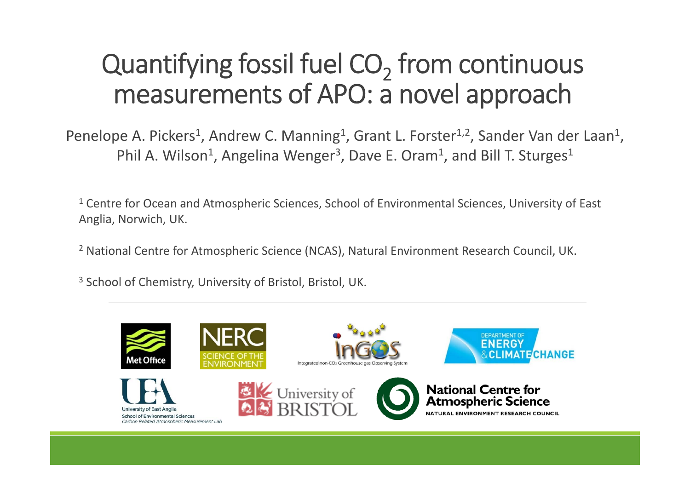## Quantifying fossil fuel  $\mathrm{CO}_2$  from continuous measurements of APO: <sup>a</sup> novel approach

Penelope A. Pickers<sup>1</sup>, Andrew C. Manning<sup>1</sup>, Grant L. Forster<sup>1,2</sup>, Sander Van der Laan<sup>1</sup>, Phil A. Wilson<sup>1</sup>, Angelina Wenger<sup>3</sup>, Dave E. Oram<sup>1</sup>, and Bill T. Sturges<sup>1</sup>

<sup>1</sup> Centre for Ocean and Atmospheric Sciences, School of Environmental Sciences, University of East Anglia, Norwich, UK.

<sup>2</sup> National Centre for Atmospheric Science (NCAS), Natural Environment Research Council, UK.

<sup>3</sup> School of Chemistry, University of Bristol, Bristol, UK.

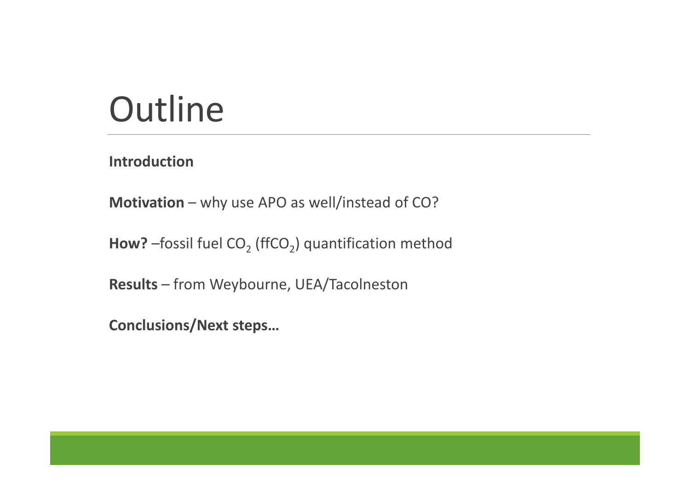# **Outline**

**Introduction**

**Motivation** – why use APO as well/instead of CO?

**How?** –fossil fuel CO<sub>2</sub> (ffCO<sub>2</sub>) quantification method

**Results** – from Weybourne, UEA/Tacolneston

**Conclusions/Next steps…**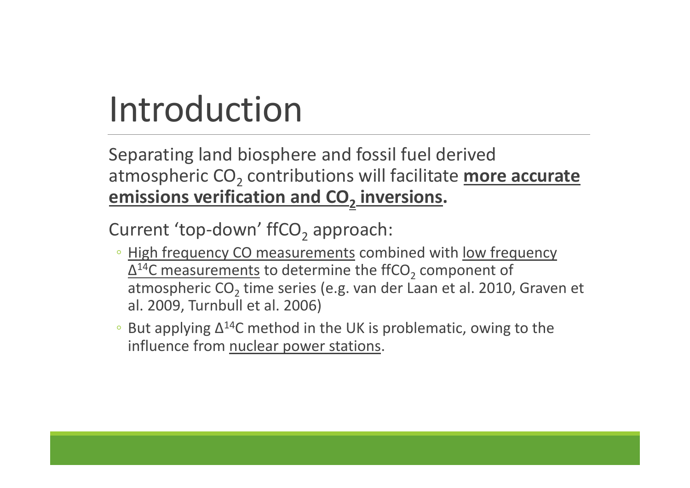# Introduction

Separating land biosphere and fossil fuel derived atmospheric CO<sub>2</sub> contributions will facilitate more accurate **emissions verification and CO2 inversions.**

Current 'top-down' ffCO<sub>2</sub> approach:

- High frequency CO measurements combined with low frequency  $\Delta ^{14}$ C measurements to determine the ffCO $_2$  component of atmospheric CO<sub>2</sub> time series (e.g. van der Laan et al. 2010, Graven et al. 2009, Turnbull et al. 2006)
- But applying  $\Delta^{14}$ C method in the UK is problematic, owing to the influence from nuclear power stations.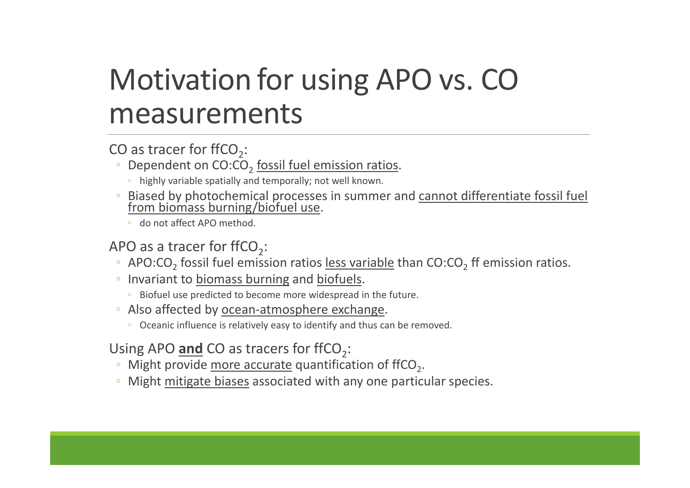## Motivation for using APO vs. CO measurements

### CO as tracer for ffCO<sub>2</sub>:

- Dependent on CO:CO<sub>2</sub> fossil fuel emission ratios.
	- highly variable spatially and temporally; not well known.
- Biased by photochemical processes in summer and cannot differentiate fossil fuel from biomass burning/biofuel use.
	- do not affect APO method.

### APO as a tracer for ffCO<sub>2</sub>:

- APO:CO<sub>2</sub> fossil fuel emission ratios less variable than CO:CO<sub>2</sub> ff emission ratios.
- Invariant to biomass burning and biofuels.
	- Biofuel use predicted to become more widespread in the future.
- Also affected by ocean‐atmosphere exchange.
	- Oceanic influence is relatively easy to identify and thus can be removed.

### Using APO **and** CO as tracers for ffCO<sub>2</sub>:

- Might provide more accurate quantification of ffCO<sub>2</sub>.
- Might mitigate biases associated with any one particular species.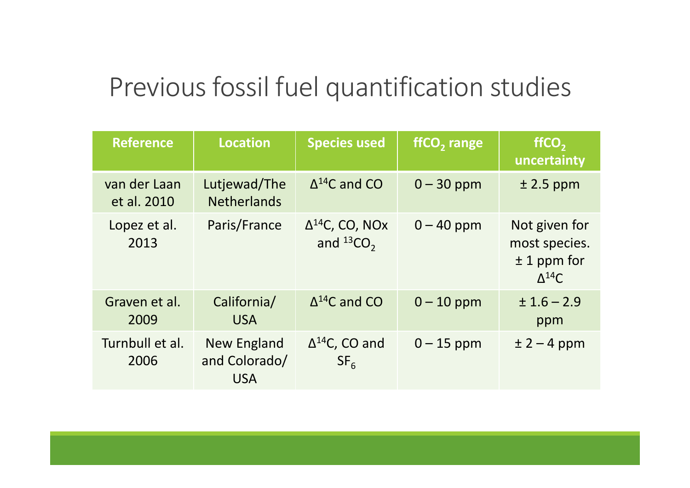## Previous fossil fuel quantification studies

| <b>Reference</b>            | <b>Location</b>                            | <b>Species used</b>                           | ffCO <sub>2</sub> range | ffCO <sub>2</sub><br>uncertainty                                    |
|-----------------------------|--------------------------------------------|-----------------------------------------------|-------------------------|---------------------------------------------------------------------|
| van der Laan<br>et al. 2010 | Lutjewad/The<br><b>Netherlands</b>         | $\Delta^{14}$ C and CO                        | $0 - 30$ ppm            | $±$ 2.5 ppm                                                         |
| Lopez et al.<br>2013        | Paris/France                               | $\Delta^{14}$ C, CO, NOx<br>and ${}^{13}CO$ , | $0 - 40$ ppm            | Not given for<br>most species.<br>$± 1$ ppm for<br>$\Lambda^{14}$ C |
| Graven et al.<br>2009       | California/<br><b>USA</b>                  | $\Delta^{14}$ C and CO                        | $0 - 10$ ppm            | $± 1.6 - 2.9$<br>ppm                                                |
| Turnbull et al.<br>2006     | New England<br>and Colorado/<br><b>USA</b> | $\Delta^{14}$ C, CO and<br>SF <sub>6</sub>    | $0 - 15$ ppm            | $\pm 2 - 4$ ppm                                                     |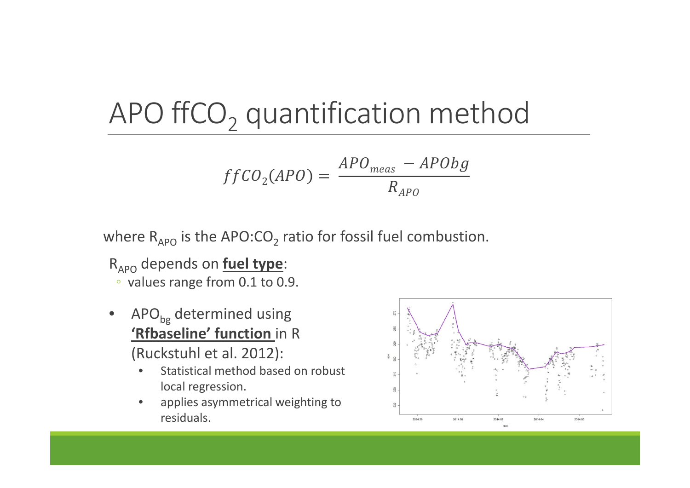# APO ffCO<sub>2</sub> quantification method

$$
f f CO_2(APO) = \frac{APO_{meas} - APObg}{R_{APO}}
$$

where  $\mathsf{R}_{\mathsf{APO}}$  is the APO:CO $_2$  ratio for fossil fuel combustion.

- RAPO depends on **fuel type**:
	- values range from 0.1 to 0.9.
- • $\text{APO}_{\text{bg}}$  determined using **'Rfbaseline' function** in R (Ruckstuhl et al. 2012):
	- •• Statistical method based on robust local regression.
	- $\bullet$  applies asymmetrical weighting to residuals.

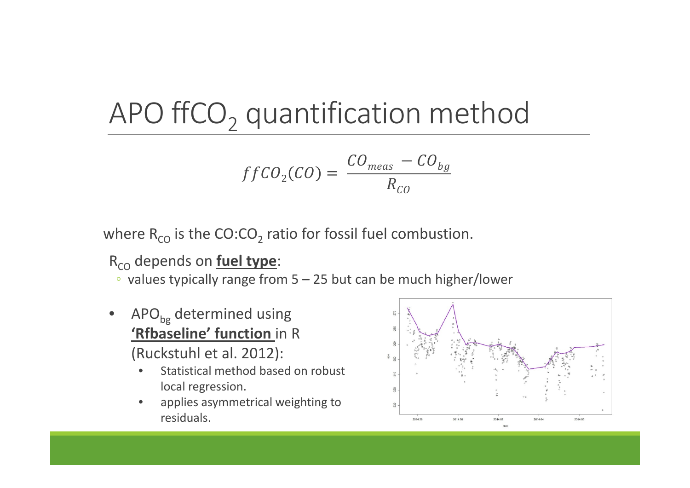# APO ffCO<sub>2</sub> quantification method

$$
f f C O_2(CO) = \frac{CO_{meas} - CO_{bg}}{R_{CO}}
$$

where  $\mathsf{R}_{\mathsf{CO}}$  is the  $\mathsf{CO}\text{:CO}_2$  ratio for fossil fuel combustion.

### RCO depends on **fuel type**:

◦ values typically range from 5 – 25 but can be much higher/lower

• $\text{APO}_{\text{bg}}$  determined using **'Rfbaseline' function** in R (Ruckstuhl et al. 2012):

•• Statistical method based on robust local regression.

 $\bullet$  applies asymmetrical weighting to residuals.

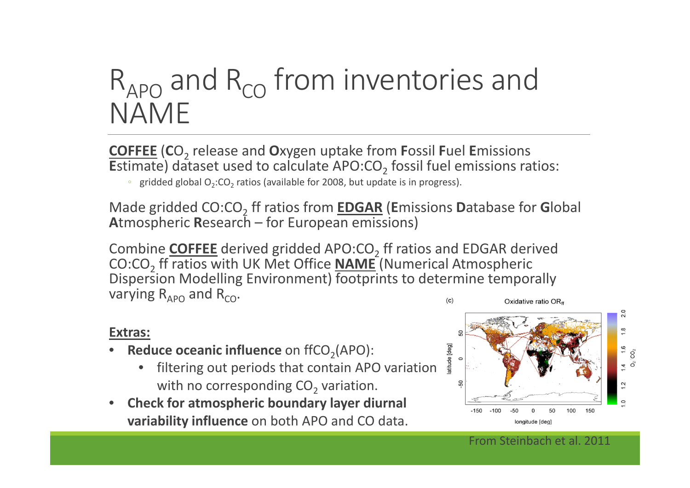# $\mathsf{R}_{\mathsf{APO}}$  and  $\mathsf{R}_{\mathsf{CO}}$  from inventories and NAME

**COFFEE** (**C**O2 release and **<sup>O</sup>**xygen uptake from **<sup>F</sup>**ossil **<sup>F</sup>**uel **<sup>E</sup>**missions **E**stimate) dataset used to calculate APO:CO<sub>2</sub> fossil fuel emissions ratios:

• gridded global O<sub>2</sub>:CO<sub>2</sub> ratios (available for 2008, but update is in progress).

Made gridded CO:CO2 ff ratios from **EDGAR** (**E**missions **<sup>D</sup>**atabase for **<sup>G</sup>**lobal **A**tmospheric **R**esearch – for European emissions)

Combine COFFEE derived gridded APO:CO<sub>2</sub> ff ratios and EDGAR derived CO:CO<sub>2</sub> ff ratios with UK Met Office <u>NAME</u> (Numerical Atmospheric Dispersion Modelling Environment) footprints to determine temporally varying R<sub>APO</sub> and R<sub>co</sub>.  $(c)$ Oxidative ratio OR<sub>ff</sub>

#### **Extras:**

- $\bullet$ **• Reduce oceanic influence** on ffCO<sub>2</sub>(APO):
	- • filtering out periods that contain APO variation with no corresponding CO<sub>2</sub> variation.
- • **Check for atmospheric boundary layer diurnal variability influence** on both APO and CO data.

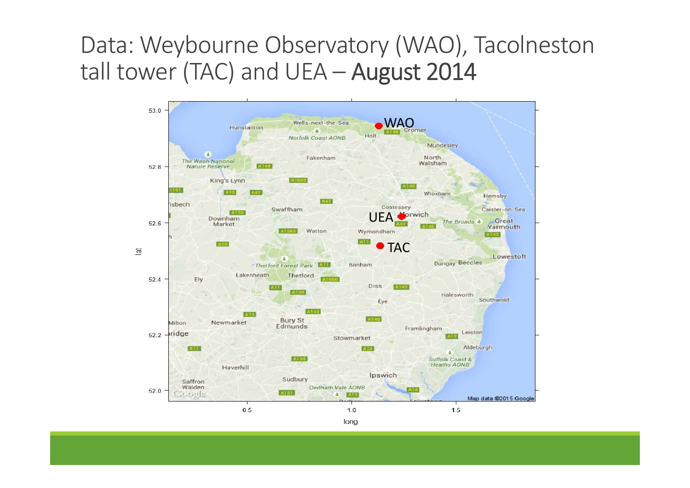### Data: Weybourne Observatory (WAO), Tacolneston tall tower (TAC) and UEA – August 2014

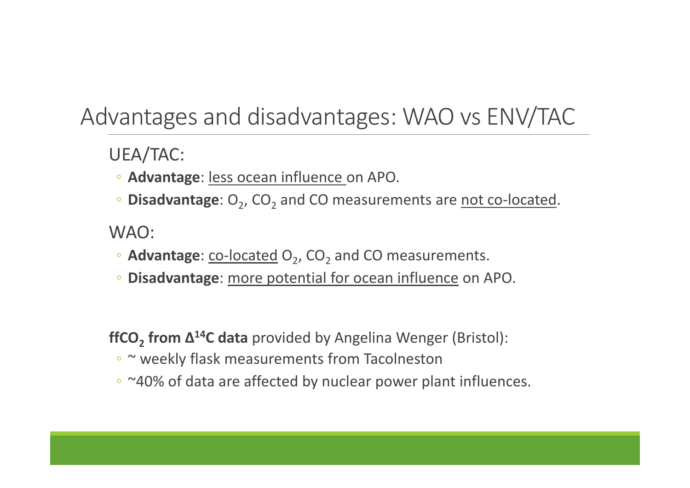### Advantages and disadvantages: WAO vs ENV/TAC

UEA/TAC:

- **Advantage**: less ocean influence on APO.
- **Disadvantage**: O<sub>2</sub>, CO<sub>2</sub> and CO measurements are not co-located.

### WAO:

- Advantage: co-located O<sub>2</sub>, CO<sub>2</sub> and CO measurements.
- **Disadvantage**: more potential for ocean influence on APO.

**ffCO2 from Δ14C data** provided by Angelina Wenger (Bristol):

- <sup>~</sup> weekly flask measurements from Tacolneston
- ~40% of data are affected by nuclear power plant influences.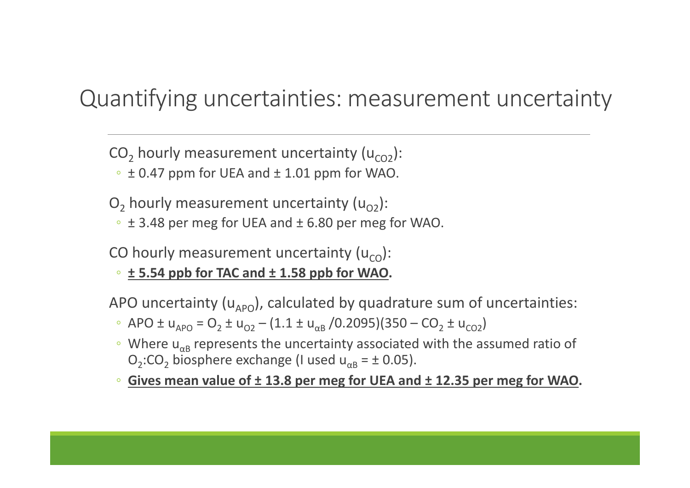### Quantifying uncertainties: measurement uncertainty

CO<sub>2</sub> hourly measurement uncertainty (u<sub>CO2</sub>):

 $\circ$   $\pm$  0.47 ppm for UEA and  $\pm$  1.01 ppm for WAO.

 $\mathsf{O}_2$  hourly measurement uncertainty (u $_{\mathsf{O2}}$ ):

 $\cdot$   $\pm$  3.48 per meg for UEA and  $\pm$  6.80 per meg for WAO.

CO hourly measurement uncertainty (u<sub>co</sub>):

◦ **± 5.54 ppb for TAC and <sup>±</sup> 1.58 ppb for WAO.**

APO uncertainty (u<sub>APO</sub>), calculated by quadrature sum of uncertainties:

- $\frac{1}{2}$  APO ± u<sub>APO</sub> = O<sub>2</sub> ± u<sub>O2</sub> (1.1 ± u<sub>αB</sub> /0.2095)(350 CO<sub>2</sub> ± u<sub>CO2</sub>)
- $\degree$  Where u<sub> $\alpha$ B</sub> represents the uncertainty associated with the assumed ratio of  $O_2$ :CO<sub>2</sub> biosphere exchange (I used u<sub>αB</sub> = ± 0.05).
- **Gives mean value of <sup>±</sup> 13.8 per meg for UEA and <sup>±</sup> 12.35 per meg for WAO.**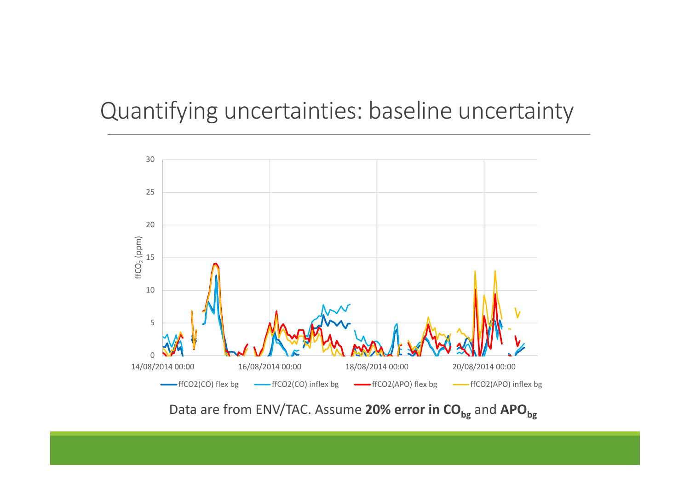### Quantifying uncertainties: baseline uncertainty



Data are from ENV/TAC. Assume 20% error in CO<sub>bg</sub> and APO<sub>bg</sub>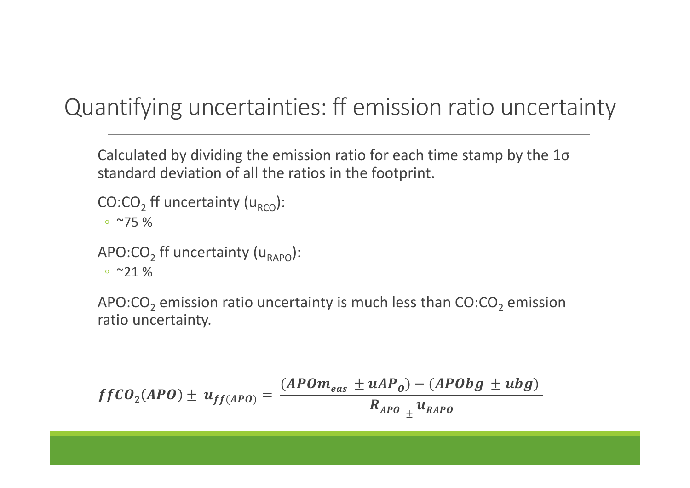### Quantifying uncertainties: ff emission ratio uncertainty

Calculated by dividing the emission ratio for each time stamp by the 1<sup>σ</sup> standard deviation of all the ratios in the footprint.

```
CO:CO<sub>2</sub> ff uncertainty (u<sub>RCO</sub>):
```

```
◦ ~75 %
```

```
APO:CO<sub>2</sub> ff uncertainty (u<sub>RAPO</sub>):
```
◦ ~21 %

APO:CO<sub>2</sub> emission ratio uncertainty is much less than CO:CO<sub>2</sub> emission ratio uncertainty.

$$
ffCO_{2}(APO) \pm u_{ff(APO)} = \frac{(APOm_{eas} \pm uAP_{O}) - (APObj \pm ubg)}{R_{APO} \pm u_{RAPO}}
$$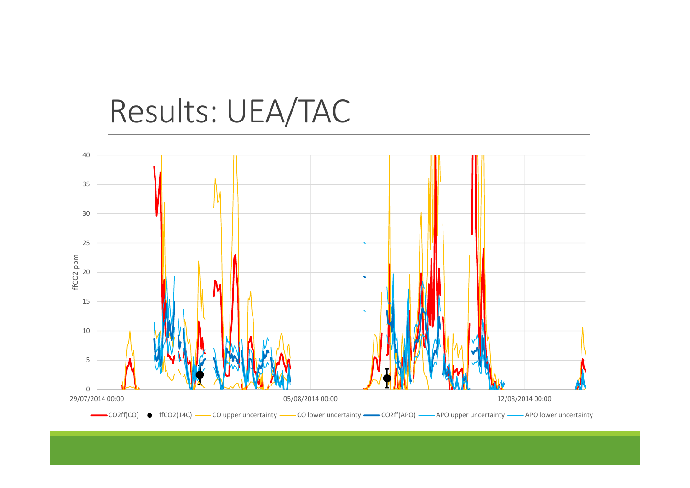# Results: UEA/TAC

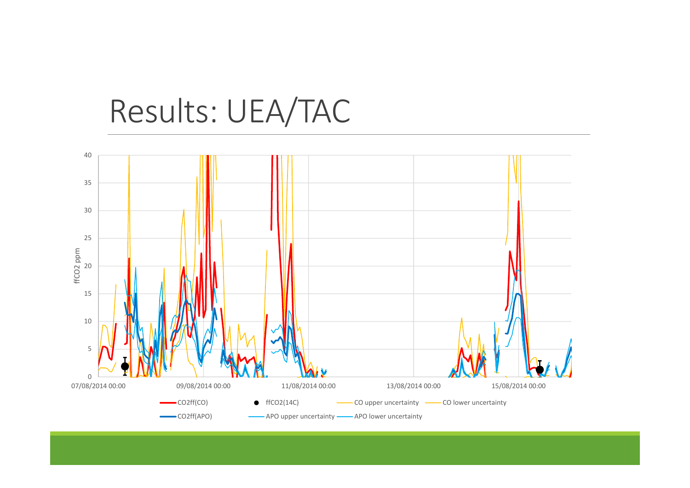## Results: UEA/TAC

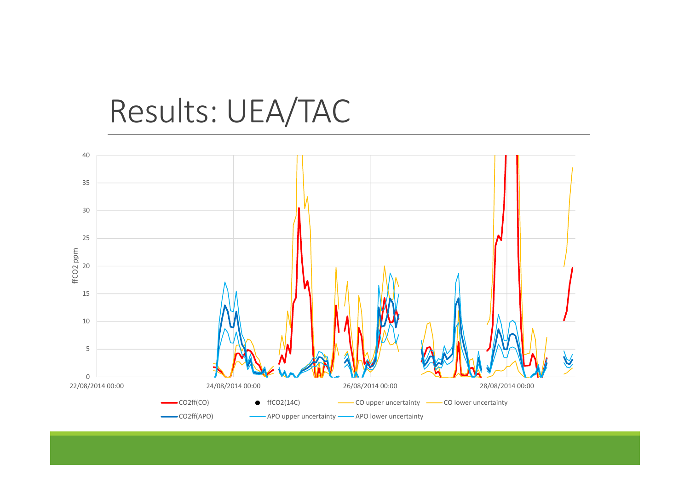## Results: UEA/TAC

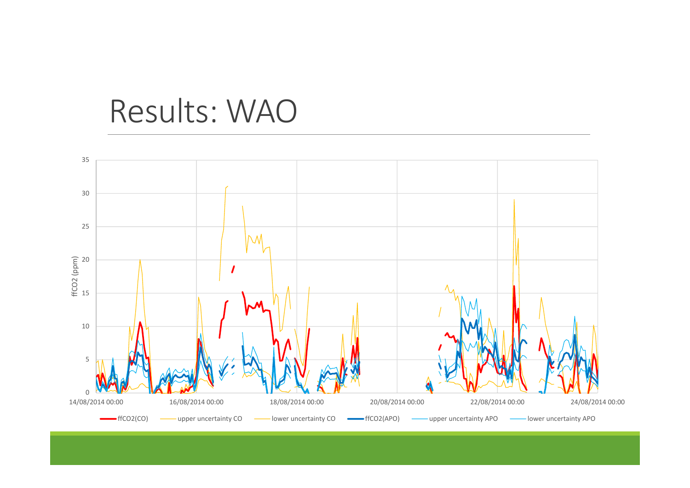## Results: WAO

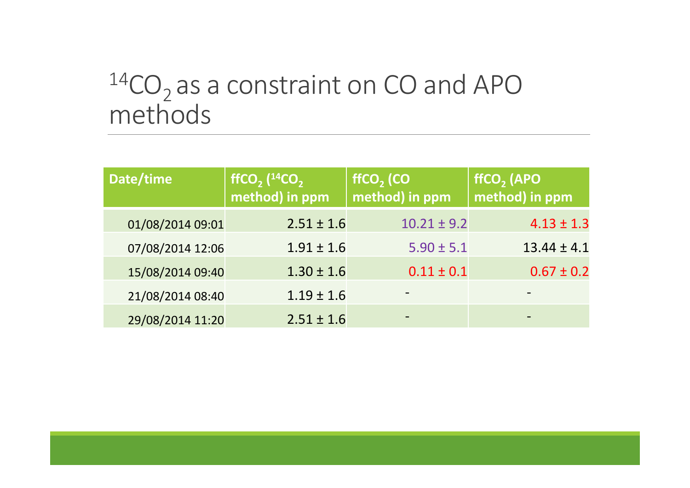## $^{14} \rm CO_2$  as a constraint on CO and APO methods

| Date/time        | ffCO <sub>2</sub> $(^{14}CO_2)$<br>method) in ppm | ffCO <sub>2</sub> (CO<br>method) in ppm | ffCO <sub>2</sub> (APO<br>method) in ppm |
|------------------|---------------------------------------------------|-----------------------------------------|------------------------------------------|
| 01/08/2014 09:01 | $2.51 \pm 1.6$                                    | $10.21 \pm 9.2$                         | $4.13 \pm 1.3$                           |
| 07/08/2014 12:06 | $1.91 \pm 1.6$                                    | $5.90 \pm 5.1$                          | $13.44 \pm 4.1$                          |
| 15/08/2014 09:40 | $1.30 \pm 1.6$                                    | $0.11 \pm 0.1$                          | $0.67 \pm 0.2$                           |
| 21/08/2014 08:40 | $1.19 \pm 1.6$                                    |                                         |                                          |
| 29/08/2014 11:20 | $2.51 \pm 1.6$                                    |                                         |                                          |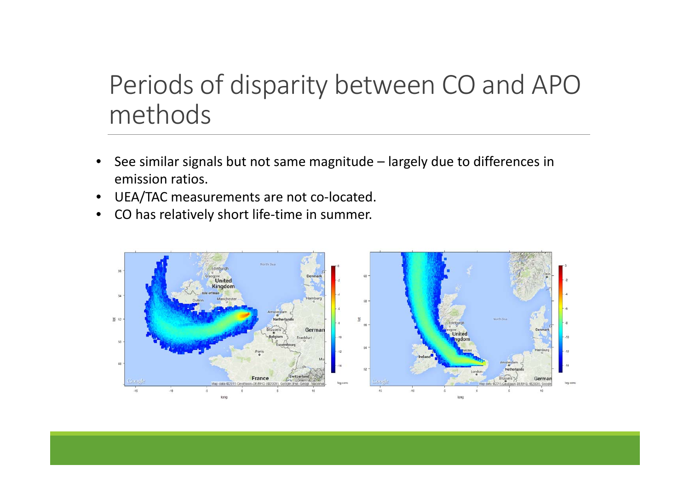## Periods of disparity between CO and APO methods

- • See similar signals but not same magnitude – largely due to differences in emission ratios.
- •UEA/TAC measurements are not co‐located.
- •● CO has relatively short life-time in summer.

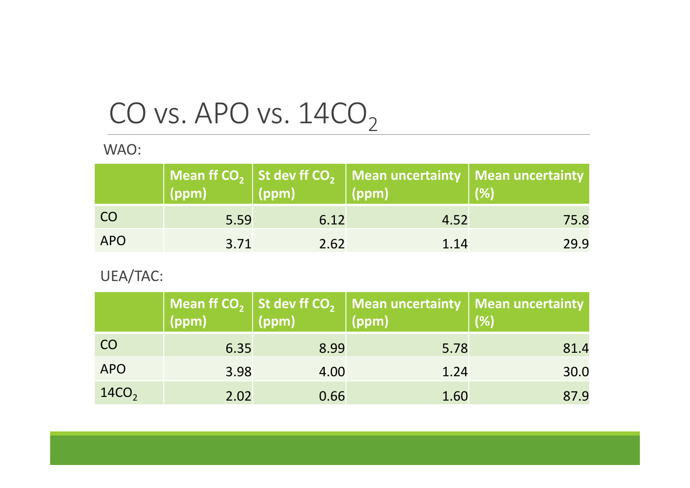## CO vs. APO vs.  $14 \rm{CO}_2$

WAO:

|            | $($ ppm $)$ | $\vert$ (ppm) $\vert$ | Mean ff $CO2$ St dev ff $CO2$ Mean uncertainty Mean uncertainty<br>$\sqrt{ppm}$ | (% ) |
|------------|-------------|-----------------------|---------------------------------------------------------------------------------|------|
| <b>CO</b>  | 5.59        | 6.12                  | 4.52                                                                            | 75.8 |
| <b>APO</b> | 3.71        | 2.62                  | 1.14                                                                            | 29.9 |

### UEA/TAC:

|                   | (ppm) | (ppm) | Mean ff $CO2$ St dev ff $CO2$ Mean uncertainty   Mean uncertainty  <br>(ppm) | (% ) |
|-------------------|-------|-------|------------------------------------------------------------------------------|------|
| <b>CO</b>         | 6.35  | 8.99  | 5.78                                                                         | 81.4 |
| <b>APO</b>        | 3.98  | 4.00  | 1.24                                                                         | 30.0 |
| 14CO <sub>2</sub> | 2.02  | 0.66  | 1.60                                                                         | 87.9 |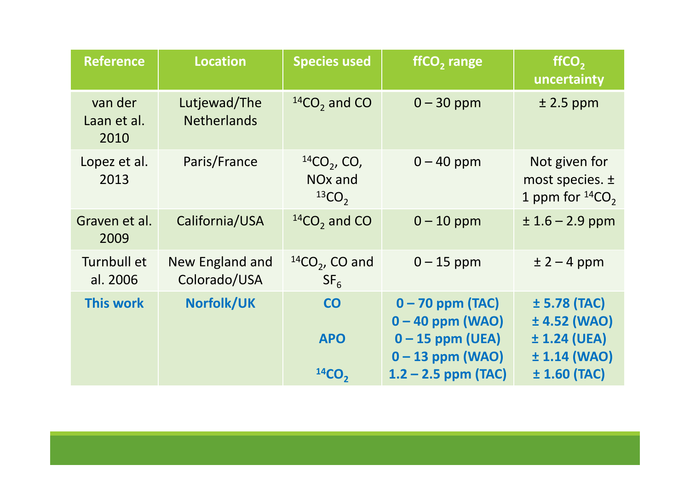| <b>Reference</b>               | <b>Location</b>                    | <b>Species used</b>                                      | ffCO <sub>2</sub> range                                        | ffCO <sub>2</sub><br>uncertainty                              |
|--------------------------------|------------------------------------|----------------------------------------------------------|----------------------------------------------------------------|---------------------------------------------------------------|
| van der<br>Laan et al.<br>2010 | Lutjewad/The<br><b>Netherlands</b> | $14CO$ <sub>2</sub> and CO                               | $0 - 30$ ppm                                                   | $± 2.5$ ppm                                                   |
| Lopez et al.<br>2013           | Paris/France                       | $^{14}CO_{2}$ , CO,<br>NO <sub>x</sub> and<br>$^{13}CO2$ | $0 - 40$ ppm                                                   | Not given for<br>most species. $\pm$<br>1 ppm for $^{14}CO$ , |
| Graven et al.<br>2009          | California/USA                     | $14CO2$ and CO                                           | $0 - 10$ ppm                                                   | $± 1.6 - 2.9$ ppm                                             |
| Turnbull et<br>al. 2006        | New England and<br>Colorado/USA    | $^{14}CO2$ , CO and<br>SF <sub>6</sub>                   | $0 - 15$ ppm                                                   | $± 2 - 4 ppm$                                                 |
| <b>This work</b>               | <b>Norfolk/UK</b>                  | <b>CO</b><br><b>APO</b>                                  | $0 - 70$ ppm (TAC)<br>$0 - 40$ ppm (WAO)<br>$0 - 15$ ppm (UEA) | $± 5.78$ (TAC)<br>$± 4.52$ (WAO)<br>$± 1.24$ (UEA)            |
|                                |                                    | 14CO <sub>2</sub>                                        | $0 - 13$ ppm (WAO)<br>$1.2 - 2.5$ ppm (TAC)                    | ± 1.14 (WAO)<br>$± 1.60$ (TAC)                                |